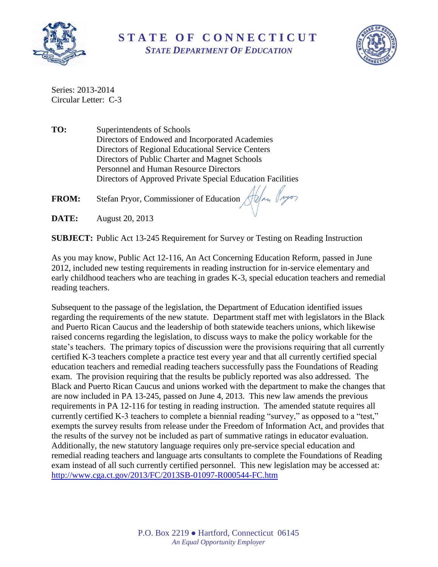

**S T A T E O F C O N N E C T I C U T** *STATE DEPARTMENT OF EDUCATION*



Series: 2013-2014 Circular Letter: C-3

**TO:** Superintendents of Schools Directors of Endowed and Incorporated Academies Directors of Regional Educational Service Centers Directors of Public Charter and Magnet Schools Personnel and Human Resource Directors Directors of Approved Private Special Education Facilities

**FROM:** Stefan Pryor, Commissioner of Education Alexander (1990)

**DATE:** August 20, 2013

**SUBJECT:** Public Act 13-245 Requirement for Survey or Testing on Reading Instruction

As you may know, Public Act 12-116, An Act Concerning Education Reform, passed in June 2012, included new testing requirements in reading instruction for in-service elementary and early childhood teachers who are teaching in grades K-3, special education teachers and remedial reading teachers.

Subsequent to the passage of the legislation, the Department of Education identified issues regarding the requirements of the new statute. Department staff met with legislators in the Black and Puerto Rican Caucus and the leadership of both statewide teachers unions, which likewise raised concerns regarding the legislation, to discuss ways to make the policy workable for the state's teachers. The primary topics of discussion were the provisions requiring that all currently certified K-3 teachers complete a practice test every year and that all currently certified special education teachers and remedial reading teachers successfully pass the Foundations of Reading exam. The provision requiring that the results be publicly reported was also addressed. The Black and Puerto Rican Caucus and unions worked with the department to make the changes that are now included in PA 13-245, passed on June 4, 2013. This new law amends the previous requirements in PA 12-116 for testing in reading instruction. The amended statute requires all currently certified K-3 teachers to complete a biennial reading "survey," as opposed to a "test," exempts the survey results from release under the Freedom of Information Act, and provides that the results of the survey not be included as part of summative ratings in educator evaluation. Additionally, the new statutory language requires only pre-service special education and remedial reading teachers and language arts consultants to complete the Foundations of Reading exam instead of all such currently certified personnel. This new legislation may be accessed at: <http://www.cga.ct.gov/2013/FC/2013SB-01097-R000544-FC.htm>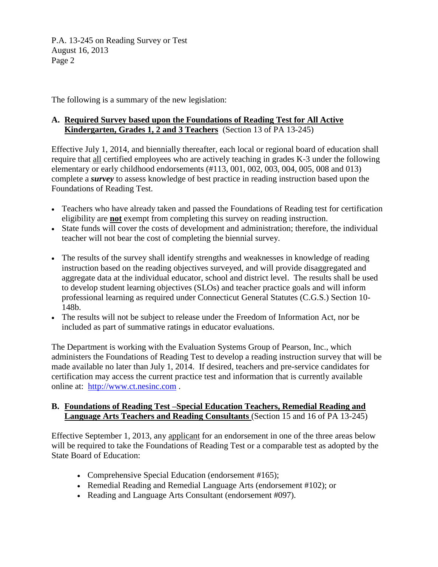P.A. 13-245 on Reading Survey or Test August 16, 2013 Page 2

The following is a summary of the new legislation:

## **A. Required Survey based upon the Foundations of Reading Test for All Active Kindergarten, Grades 1, 2 and 3 Teachers** (Section 13 of PA 13-245)

Effective July 1, 2014, and biennially thereafter, each local or regional board of education shall require that all certified employees who are actively teaching in grades K-3 under the following elementary or early childhood endorsements (#113, 001, 002, 003, 004, 005, 008 and 013) complete a *survey* to assess knowledge of best practice in reading instruction based upon the Foundations of Reading Test.

- Teachers who have already taken and passed the Foundations of Reading test for certification eligibility are **not** exempt from completing this survey on reading instruction.
- State funds will cover the costs of development and administration; therefore, the individual teacher will not bear the cost of completing the biennial survey.
- The results of the survey shall identify strengths and weaknesses in knowledge of reading instruction based on the reading objectives surveyed, and will provide disaggregated and aggregate data at the individual educator, school and district level. The results shall be used to develop student learning objectives (SLOs) and teacher practice goals and will inform professional learning as required under Connecticut General Statutes (C.G.S.) Section 10- 148b.
- The results will not be subject to release under the Freedom of Information Act, nor be included as part of summative ratings in educator evaluations.

The Department is working with the Evaluation Systems Group of Pearson, Inc., which administers the Foundations of Reading Test to develop a reading instruction survey that will be made available no later than July 1, 2014. If desired, teachers and pre-service candidates for certification may access the current practice test and information that is currently available online at: [http://www.ct.nesinc.com](http://www.ct.nesinc.com/) .

## **B. Foundations of Reading Test –Special Education Teachers, Remedial Reading and Language Arts Teachers and Reading Consultants** (Section 15 and 16 of PA 13-245)

Effective September 1, 2013, any applicant for an endorsement in one of the three areas below will be required to take the Foundations of Reading Test or a comparable test as adopted by the State Board of Education:

- Comprehensive Special Education (endorsement #165);
- Remedial Reading and Remedial Language Arts (endorsement #102); or
- Reading and Language Arts Consultant (endorsement #097).